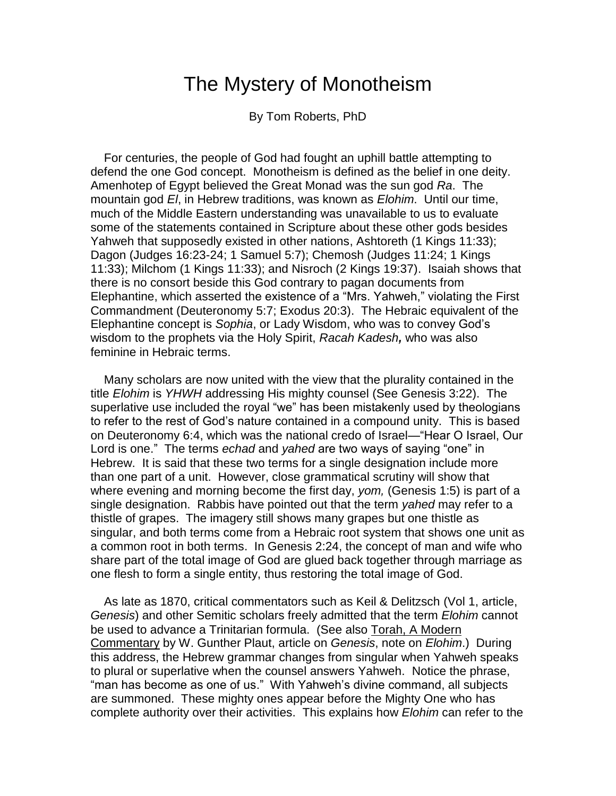# The Mystery of Monotheism

By Tom Roberts, PhD

 For centuries, the people of God had fought an uphill battle attempting to defend the one God concept. Monotheism is defined as the belief in one deity. Amenhotep of Egypt believed the Great Monad was the sun god *Ra*. The mountain god *El*, in Hebrew traditions, was known as *Elohim*. Until our time, much of the Middle Eastern understanding was unavailable to us to evaluate some of the statements contained in Scripture about these other gods besides Yahweh that supposedly existed in other nations, Ashtoreth (1 Kings 11:33); Dagon (Judges 16:23-24; 1 Samuel 5:7); Chemosh (Judges 11:24; 1 Kings 11:33); Milchom (1 Kings 11:33); and Nisroch (2 Kings 19:37). Isaiah shows that there is no consort beside this God contrary to pagan documents from Elephantine, which asserted the existence of a "Mrs. Yahweh," violating the First Commandment (Deuteronomy 5:7; Exodus 20:3). The Hebraic equivalent of the Elephantine concept is *Sophia*, or Lady Wisdom, who was to convey God's wisdom to the prophets via the Holy Spirit, *Racah Kadesh,* who was also feminine in Hebraic terms.

 Many scholars are now united with the view that the plurality contained in the title *Elohim* is *YHWH* addressing His mighty counsel (See Genesis 3:22). The superlative use included the royal "we" has been mistakenly used by theologians to refer to the rest of God's nature contained in a compound unity. This is based on Deuteronomy 6:4, which was the national credo of Israel—"Hear O Israel, Our Lord is one." The terms *echad* and *yahed* are two ways of saying "one" in Hebrew. It is said that these two terms for a single designation include more than one part of a unit. However, close grammatical scrutiny will show that where evening and morning become the first day, *yom,* (Genesis 1:5) is part of a single designation. Rabbis have pointed out that the term *yahed* may refer to a thistle of grapes. The imagery still shows many grapes but one thistle as singular, and both terms come from a Hebraic root system that shows one unit as a common root in both terms. In Genesis 2:24, the concept of man and wife who share part of the total image of God are glued back together through marriage as one flesh to form a single entity, thus restoring the total image of God.

 As late as 1870, critical commentators such as Keil & Delitzsch (Vol 1, article, *Genesis*) and other Semitic scholars freely admitted that the term *Elohim* cannot be used to advance a Trinitarian formula. (See also Torah, A Modern Commentary by W. Gunther Plaut, article on *Genesis*, note on *Elohim*.) During this address, the Hebrew grammar changes from singular when Yahweh speaks to plural or superlative when the counsel answers Yahweh. Notice the phrase, "man has become as one of us." With Yahweh's divine command, all subjects are summoned. These mighty ones appear before the Mighty One who has complete authority over their activities. This explains how *Elohim* can refer to the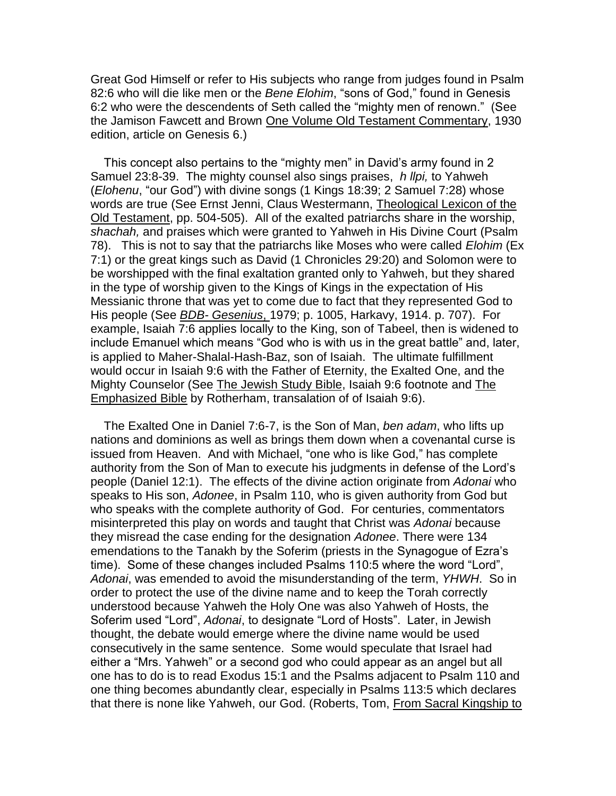Great God Himself or refer to His subjects who range from judges found in Psalm 82:6 who will die like men or the *Bene Elohim*, "sons of God," found in Genesis 6:2 who were the descendents of Seth called the "mighty men of renown." (See the Jamison Fawcett and Brown One Volume Old Testament Commentary, 1930 edition, article on Genesis 6.)

 This concept also pertains to the "mighty men" in David's army found in 2 Samuel 23:8-39. The mighty counsel also sings praises, *h llpi,* to Yahweh (*Elohenu*, "our God") with divine songs (1 Kings 18:39; 2 Samuel 7:28) whose words are true (See Ernst Jenni, Claus Westermann, Theological Lexicon of the Old Testament, pp. 504-505). All of the exalted patriarchs share in the worship, *shachah,* and praises which were granted to Yahweh in His Divine Court (Psalm 78). This is not to say that the patriarchs like Moses who were called *Elohim* (Ex 7:1) or the great kings such as David (1 Chronicles 29:20) and Solomon were to be worshipped with the final exaltation granted only to Yahweh, but they shared in the type of worship given to the Kings of Kings in the expectation of His Messianic throne that was yet to come due to fact that they represented God to His people (See *BDB- Gesenius*, 1979; p. 1005, Harkavy, 1914. p. 707). For example, Isaiah 7:6 applies locally to the King, son of Tabeel, then is widened to include Emanuel which means "God who is with us in the great battle" and, later, is applied to Maher-Shalal-Hash-Baz, son of Isaiah. The ultimate fulfillment would occur in Isaiah 9:6 with the Father of Eternity, the Exalted One, and the Mighty Counselor (See The Jewish Study Bible, Isaiah 9:6 footnote and The Emphasized Bible by Rotherham, transalation of of Isaiah 9:6).

 The Exalted One in Daniel 7:6-7, is the Son of Man, *ben adam*, who lifts up nations and dominions as well as brings them down when a covenantal curse is issued from Heaven. And with Michael, "one who is like God," has complete authority from the Son of Man to execute his judgments in defense of the Lord's people (Daniel 12:1). The effects of the divine action originate from *Adonai* who speaks to His son, *Adonee*, in Psalm 110, who is given authority from God but who speaks with the complete authority of God. For centuries, commentators misinterpreted this play on words and taught that Christ was *Adonai* because they misread the case ending for the designation *Adonee*. There were 134 emendations to the Tanakh by the Soferim (priests in the Synagogue of Ezra's time). Some of these changes included Psalms 110:5 where the word "Lord", *Adonai*, was emended to avoid the misunderstanding of the term, *YHWH*.So in order to protect the use of the divine name and to keep the Torah correctly understood because Yahweh the Holy One was also Yahweh of Hosts, the Soferim used "Lord", *Adonai*, to designate "Lord of Hosts". Later, in Jewish thought, the debate would emerge where the divine name would be used consecutively in the same sentence. Some would speculate that Israel had either a "Mrs. Yahweh" or a second god who could appear as an angel but all one has to do is to read Exodus 15:1 and the Psalms adjacent to Psalm 110 and one thing becomes abundantly clear, especially in Psalms 113:5 which declares that there is none like Yahweh, our God. (Roberts, Tom, From Sacral Kingship to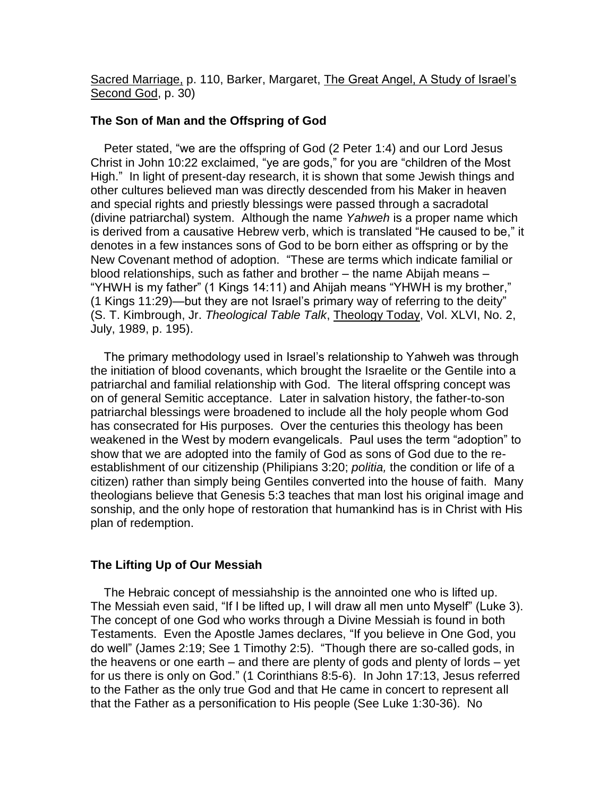Sacred Marriage, p. 110, Barker, Margaret, The Great Angel, A Study of Israel's Second God, p. 30)

# **The Son of Man and the Offspring of God**

 Peter stated, "we are the offspring of God (2 Peter 1:4) and our Lord Jesus Christ in John 10:22 exclaimed, "ye are gods," for you are "children of the Most High." In light of present-day research, it is shown that some Jewish things and other cultures believed man was directly descended from his Maker in heaven and special rights and priestly blessings were passed through a sacradotal (divine patriarchal) system. Although the name *Yahweh* is a proper name which is derived from a causative Hebrew verb, which is translated "He caused to be," it denotes in a few instances sons of God to be born either as offspring or by the New Covenant method of adoption. "These are terms which indicate familial or blood relationships, such as father and brother – the name Abijah means – "YHWH is my father" (1 Kings 14:11) and Ahijah means "YHWH is my brother," (1 Kings 11:29)—but they are not Israel's primary way of referring to the deity" (S. T. Kimbrough, Jr. *Theological Table Talk*, Theology Today, Vol. XLVI, No. 2, July, 1989, p. 195).

 The primary methodology used in Israel's relationship to Yahweh was through the initiation of blood covenants, which brought the Israelite or the Gentile into a patriarchal and familial relationship with God. The literal offspring concept was on of general Semitic acceptance. Later in salvation history, the father-to-son patriarchal blessings were broadened to include all the holy people whom God has consecrated for His purposes. Over the centuries this theology has been weakened in the West by modern evangelicals. Paul uses the term "adoption" to show that we are adopted into the family of God as sons of God due to the reestablishment of our citizenship (Philipians 3:20; *politia,* the condition or life of a citizen) rather than simply being Gentiles converted into the house of faith. Many theologians believe that Genesis 5:3 teaches that man lost his original image and sonship, and the only hope of restoration that humankind has is in Christ with His plan of redemption.

## **The Lifting Up of Our Messiah**

 The Hebraic concept of messiahship is the annointed one who is lifted up. The Messiah even said, "If I be lifted up, I will draw all men unto Myself" (Luke 3). The concept of one God who works through a Divine Messiah is found in both Testaments. Even the Apostle James declares, "If you believe in One God, you do well" (James 2:19; See 1 Timothy 2:5). "Though there are so-called gods, in the heavens or one earth – and there are plenty of gods and plenty of lords – yet for us there is only on God." (1 Corinthians 8:5-6). In John 17:13, Jesus referred to the Father as the only true God and that He came in concert to represent all that the Father as a personification to His people (See Luke 1:30-36). No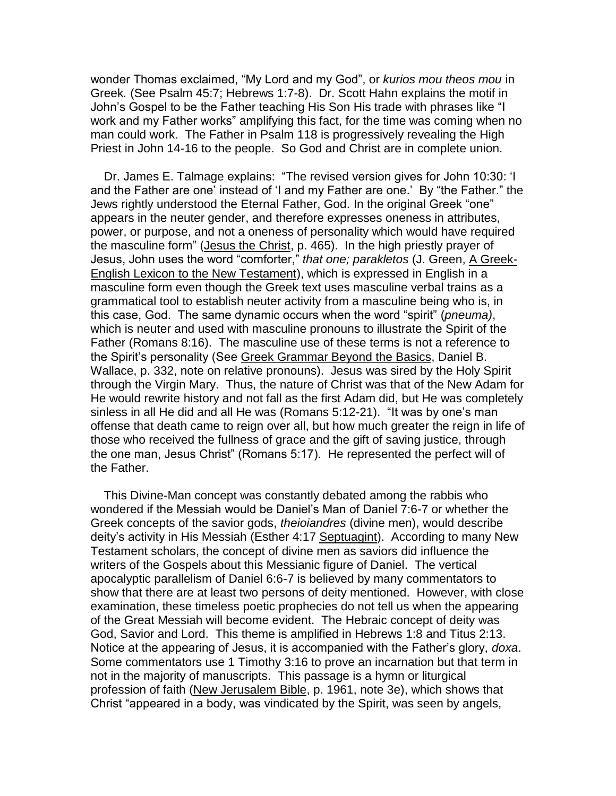wonder Thomas exclaimed, "My Lord and my God", or *kurios mou theos mou* in Greek*.* (See Psalm 45:7; Hebrews 1:7-8). Dr. Scott Hahn explains the motif in John's Gospel to be the Father teaching His Son His trade with phrases like "I work and my Father works" amplifying this fact, for the time was coming when no man could work. The Father in Psalm 118 is progressively revealing the High Priest in John 14-16 to the people. So God and Christ are in complete union.

 Dr. James E. Talmage explains: "The revised version gives for John 10:30: 'I and the Father are one' instead of 'I and my Father are one.' By "the Father." the Jews rightly understood the Eternal Father, God. In the original Greek "one" appears in the neuter gender, and therefore expresses oneness in attributes, power, or purpose, and not a oneness of personality which would have required the masculine form" (Jesus the Christ, p. 465). In the high priestly prayer of Jesus, John uses the word "comforter," *that one; parakletos* (J. Green, A Greek-English Lexicon to the New Testament), which is expressed in English in a masculine form even though the Greek text uses masculine verbal trains as a grammatical tool to establish neuter activity from a masculine being who is, in this case, God. The same dynamic occurs when the word "spirit" (*pneuma)*, which is neuter and used with masculine pronouns to illustrate the Spirit of the Father (Romans 8:16). The masculine use of these terms is not a reference to the Spirit's personality (See Greek Grammar Beyond the Basics, Daniel B. Wallace, p. 332, note on relative pronouns). Jesus was sired by the Holy Spirit through the Virgin Mary. Thus, the nature of Christ was that of the New Adam for He would rewrite history and not fall as the first Adam did, but He was completely sinless in all He did and all He was (Romans 5:12-21). "It was by one's man offense that death came to reign over all, but how much greater the reign in life of those who received the fullness of grace and the gift of saving justice, through the one man, Jesus Christ" (Romans 5:17). He represented the perfect will of the Father.

 This Divine-Man concept was constantly debated among the rabbis who wondered if the Messiah would be Daniel's Man of Daniel 7:6-7 or whether the Greek concepts of the savior gods, *theioiandres* (divine men), would describe deity's activity in His Messiah (Esther 4:17 Septuagint). According to many New Testament scholars, the concept of divine men as saviors did influence the writers of the Gospels about this Messianic figure of Daniel. The vertical apocalyptic parallelism of Daniel 6:6-7 is believed by many commentators to show that there are at least two persons of deity mentioned. However, with close examination, these timeless poetic prophecies do not tell us when the appearing of the Great Messiah will become evident. The Hebraic concept of deity was God, Savior and Lord. This theme is amplified in Hebrews 1:8 and Titus 2:13. Notice at the appearing of Jesus, it is accompanied with the Father's glory, *doxa*. Some commentators use 1 Timothy 3:16 to prove an incarnation but that term in not in the majority of manuscripts. This passage is a hymn or liturgical profession of faith (New Jerusalem Bible, p. 1961, note 3e), which shows that Christ "appeared in a body, was vindicated by the Spirit, was seen by angels,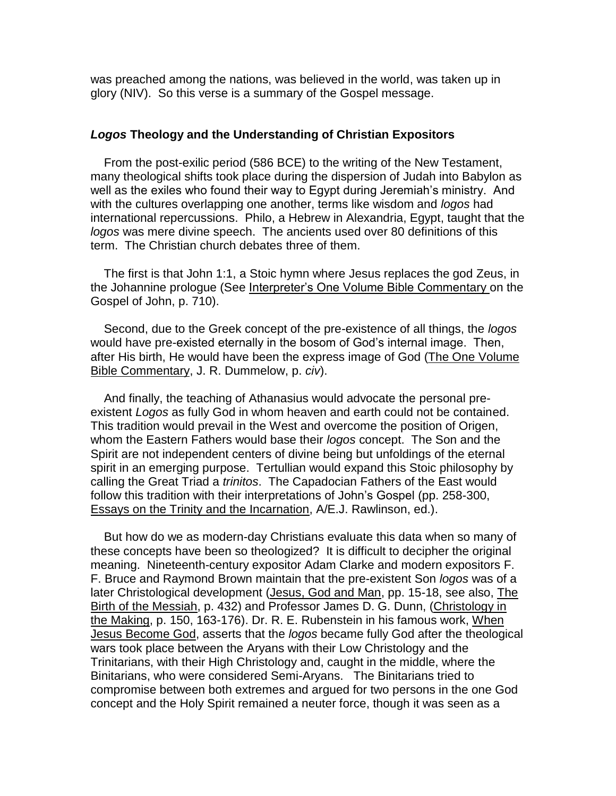was preached among the nations, was believed in the world, was taken up in glory (NIV). So this verse is a summary of the Gospel message.

#### *Logos* **Theology and the Understanding of Christian Expositors**

 From the post-exilic period (586 BCE) to the writing of the New Testament, many theological shifts took place during the dispersion of Judah into Babylon as well as the exiles who found their way to Egypt during Jeremiah's ministry. And with the cultures overlapping one another, terms like wisdom and *logos* had international repercussions. Philo, a Hebrew in Alexandria, Egypt, taught that the *logos* was mere divine speech. The ancients used over 80 definitions of this term. The Christian church debates three of them.

 The first is that John 1:1, a Stoic hymn where Jesus replaces the god Zeus, in the Johannine prologue (See Interpreter's One Volume Bible Commentary on the Gospel of John, p. 710).

 Second, due to the Greek concept of the pre-existence of all things, the *logos* would have pre-existed eternally in the bosom of God's internal image. Then, after His birth, He would have been the express image of God (The One Volume Bible Commentary, J. R. Dummelow, p. *civ*).

 And finally, the teaching of Athanasius would advocate the personal preexistent *Logos* as fully God in whom heaven and earth could not be contained. This tradition would prevail in the West and overcome the position of Origen, whom the Eastern Fathers would base their *logos* concept. The Son and the Spirit are not independent centers of divine being but unfoldings of the eternal spirit in an emerging purpose. Tertullian would expand this Stoic philosophy by calling the Great Triad a *trinitos*. The Capadocian Fathers of the East would follow this tradition with their interpretations of John's Gospel (pp. 258-300, Essays on the Trinity and the Incarnation, A/E.J. Rawlinson, ed.).

 But how do we as modern-day Christians evaluate this data when so many of these concepts have been so theologized? It is difficult to decipher the original meaning. Nineteenth-century expositor Adam Clarke and modern expositors F. F. Bruce and Raymond Brown maintain that the pre-existent Son *logos* was of a later Christological development (Jesus, God and Man, pp. 15-18, see also, The Birth of the Messiah, p. 432) and Professor James D. G. Dunn, (Christology in the Making, p. 150, 163-176). Dr. R. E. Rubenstein in his famous work, When Jesus Become God, asserts that the *logos* became fully God after the theological wars took place between the Aryans with their Low Christology and the Trinitarians, with their High Christology and, caught in the middle, where the Binitarians, who were considered Semi-Aryans. The Binitarians tried to compromise between both extremes and argued for two persons in the one God concept and the Holy Spirit remained a neuter force, though it was seen as a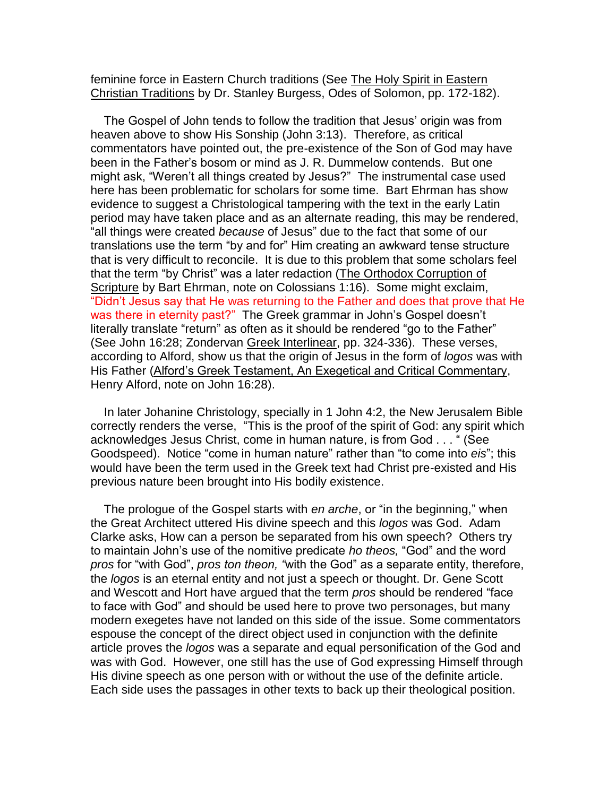feminine force in Eastern Church traditions (See The Holy Spirit in Eastern Christian Traditions by Dr. Stanley Burgess, Odes of Solomon, pp. 172-182).

 The Gospel of John tends to follow the tradition that Jesus' origin was from heaven above to show His Sonship (John 3:13). Therefore, as critical commentators have pointed out, the pre-existence of the Son of God may have been in the Father's bosom or mind as J. R. Dummelow contends. But one might ask, "Weren't all things created by Jesus?" The instrumental case used here has been problematic for scholars for some time. Bart Ehrman has show evidence to suggest a Christological tampering with the text in the early Latin period may have taken place and as an alternate reading, this may be rendered, "all things were created *because* of Jesus" due to the fact that some of our translations use the term "by and for" Him creating an awkward tense structure that is very difficult to reconcile. It is due to this problem that some scholars feel that the term "by Christ" was a later redaction (The Orthodox Corruption of Scripture by Bart Ehrman, note on Colossians 1:16). Some might exclaim, "Didn't Jesus say that He was returning to the Father and does that prove that He was there in eternity past?" The Greek grammar in John's Gospel doesn't literally translate "return" as often as it should be rendered "go to the Father" (See John 16:28; Zondervan Greek Interlinear, pp. 324-336). These verses, according to Alford, show us that the origin of Jesus in the form of *logos* was with His Father (Alford's Greek Testament, An Exegetical and Critical Commentary, Henry Alford, note on John 16:28).

 In later Johanine Christology, specially in 1 John 4:2, the New Jerusalem Bible correctly renders the verse, "This is the proof of the spirit of God: any spirit which acknowledges Jesus Christ, come in human nature, is from God . . . " (See Goodspeed). Notice "come in human nature" rather than "to come into *eis*"; this would have been the term used in the Greek text had Christ pre-existed and His previous nature been brought into His bodily existence.

 The prologue of the Gospel starts with *en arche*, or "in the beginning," when the Great Architect uttered His divine speech and this *logos* was God. Adam Clarke asks, How can a person be separated from his own speech? Others try to maintain John's use of the nomitive predicate *ho theos,* "God" and the word *pros* for "with God", *pros ton theon, "*with the God" as a separate entity, therefore, the *logos* is an eternal entity and not just a speech or thought. Dr. Gene Scott and Wescott and Hort have argued that the term *pros* should be rendered "face to face with God" and should be used here to prove two personages, but many modern exegetes have not landed on this side of the issue. Some commentators espouse the concept of the direct object used in conjunction with the definite article proves the *logos* was a separate and equal personification of the God and was with God. However, one still has the use of God expressing Himself through His divine speech as one person with or without the use of the definite article. Each side uses the passages in other texts to back up their theological position.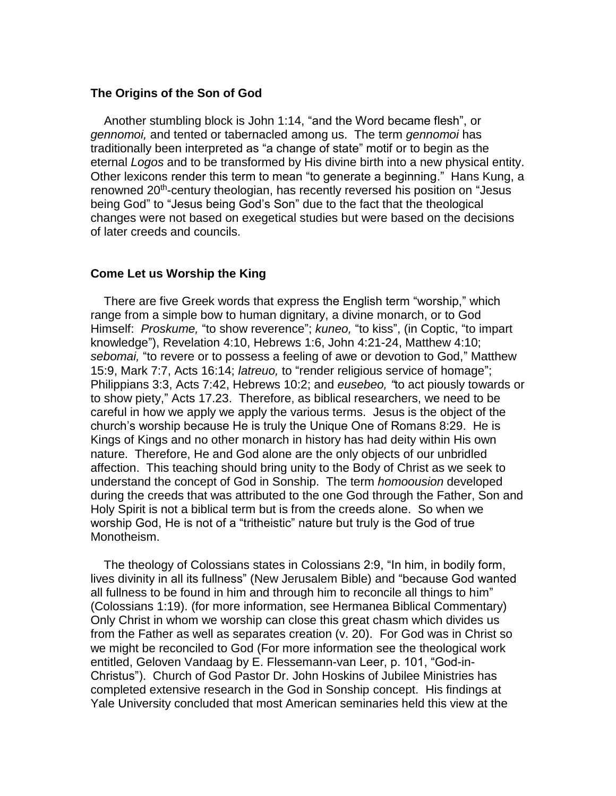#### **The Origins of the Son of God**

 Another stumbling block is John 1:14, "and the Word became flesh", or *gennomoi,* and tented or tabernacled among us. The term *gennomoi* has traditionally been interpreted as "a change of state" motif or to begin as the eternal *Logos* and to be transformed by His divine birth into a new physical entity. Other lexicons render this term to mean "to generate a beginning." Hans Kung, a renowned 20<sup>th</sup>-century theologian, has recently reversed his position on "Jesus being God" to "Jesus being God's Son" due to the fact that the theological changes were not based on exegetical studies but were based on the decisions of later creeds and councils.

## **Come Let us Worship the King**

 There are five Greek words that express the English term "worship," which range from a simple bow to human dignitary, a divine monarch, or to God Himself: *Proskume,* "to show reverence"; *kuneo,* "to kiss", (in Coptic, "to impart knowledge"), Revelation 4:10, Hebrews 1:6, John 4:21-24, Matthew 4:10; *sebomai,* "to revere or to possess a feeling of awe or devotion to God," Matthew 15:9, Mark 7:7, Acts 16:14; *latreuo,* to "render religious service of homage"; Philippians 3:3, Acts 7:42, Hebrews 10:2; and *eusebeo, "*to act piously towards or to show piety," Acts 17.23. Therefore, as biblical researchers, we need to be careful in how we apply we apply the various terms. Jesus is the object of the church's worship because He is truly the Unique One of Romans 8:29. He is Kings of Kings and no other monarch in history has had deity within His own nature. Therefore, He and God alone are the only objects of our unbridled affection. This teaching should bring unity to the Body of Christ as we seek to understand the concept of God in Sonship. The term *homoousion* developed during the creeds that was attributed to the one God through the Father, Son and Holy Spirit is not a biblical term but is from the creeds alone. So when we worship God, He is not of a "tritheistic" nature but truly is the God of true Monotheism.

 The theology of Colossians states in Colossians 2:9, "In him, in bodily form, lives divinity in all its fullness" (New Jerusalem Bible) and "because God wanted all fullness to be found in him and through him to reconcile all things to him" (Colossians 1:19). (for more information, see Hermanea Biblical Commentary) Only Christ in whom we worship can close this great chasm which divides us from the Father as well as separates creation (v. 20). For God was in Christ so we might be reconciled to God (For more information see the theological work entitled, Geloven Vandaag by E. Flessemann-van Leer, p. 101, "God-in-Christus"). Church of God Pastor Dr. John Hoskins of Jubilee Ministries has completed extensive research in the God in Sonship concept. His findings at Yale University concluded that most American seminaries held this view at the